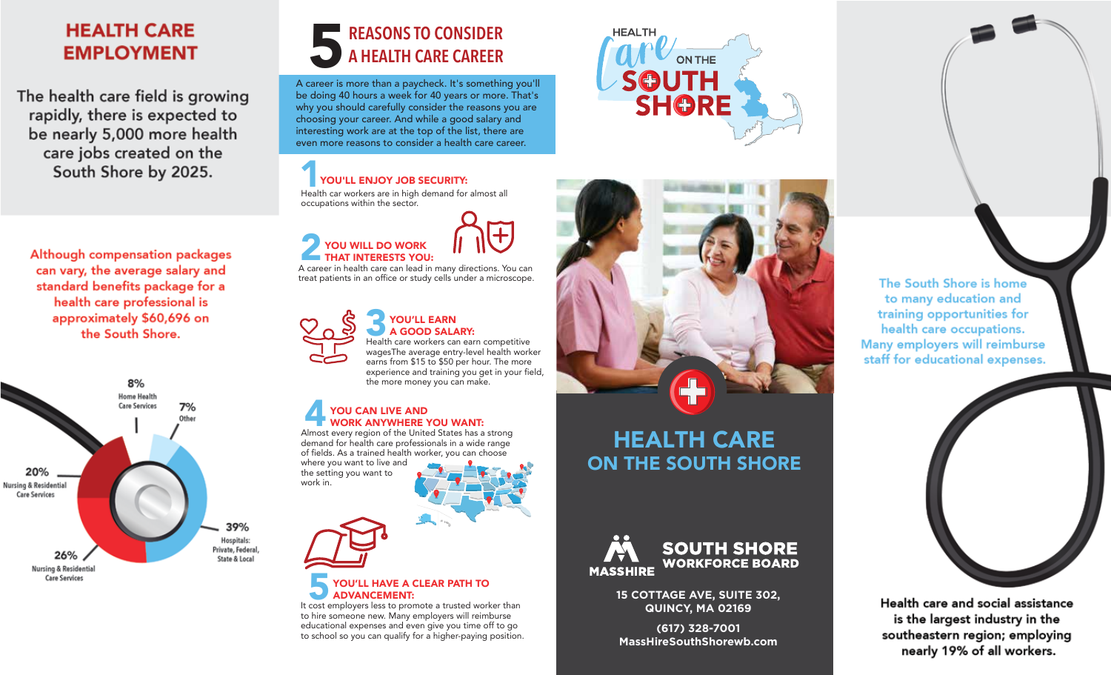# **HEALTH CARE EMPLOYMENT**

The health care field is growing rapidly, there is expected to be nearly 5,000 more health care jobs created on the South Shore by 2025.

Although compensation packages can vary, the average salary and standard benefits package for a health care professional is approximately \$60,696 on the South Shore.



# **SEASONS TO CONSIDER<br>A Career is more than a paycheck. It's something you'll REASONS TO CONSIDER A HEALTH CARE CAREER**

be doing 40 hours a week for 40 years or more. That's why you should carefully consider the reasons you are choosing your career. And while a good salary and interesting work are at the top of the list, there are even more reasons to consider a health care career.

### **1986 YOU'LL ENJOY JOB SECURITY:**<br>Health car workers are in high demand for almost all YOU'LL ENJOY JOB SECURITY:

occupations within the sector.

## **2 YOU WILL DO WORK THAT INTERESTS YOU:**<br>A career in health care can lead in many directions. You can **OU WILL DO WORK** THAT INTERESTS YOU:

treat patients in an office or study cells under a microscope.



#### **3 YOU'LL EARN<br>1 A GOOD SALARY:**<br>Health care workers can earn competitive A GOOD SALARY: wagesThe average entry-level health worker

earns from \$15 to \$50 per hour. The more experience and training you get in your field, the more money you can make.

#### **4 YOU CAN LIVE AND<br>4 WORK ANYWHERE YOU WANT:**<br>Almost every region of the United States has a strong YOU CAN LIVE AND WORK ANYWHERE YOU WANT:

demand for health care professionals in a wide range of fields. As a trained health worker, you can choose where you want to live and the setting you want to work in.

#### **FOU'LL HAVE A CLEAR PATH TO<br>It cost employers less to promote a trusted worker than**  YOU'LL HAVE A CLEAR PATH TO ADVANCEMENT:

to hire someone new. Many employers will reimburse educational expenses and even give you time off to go to school so you can qualify for a higher-paying position.





# HEALTH CARE ON THE SOUTH SHORE



**15 COTTAGE AVE, SUITE 302, QUINCY, MA 02169**

**(617) 328-7001 MassHireSouthShorewb.com**





Health care and social assistance is the largest industry in the southeastern region; employing nearly 19% of all workers.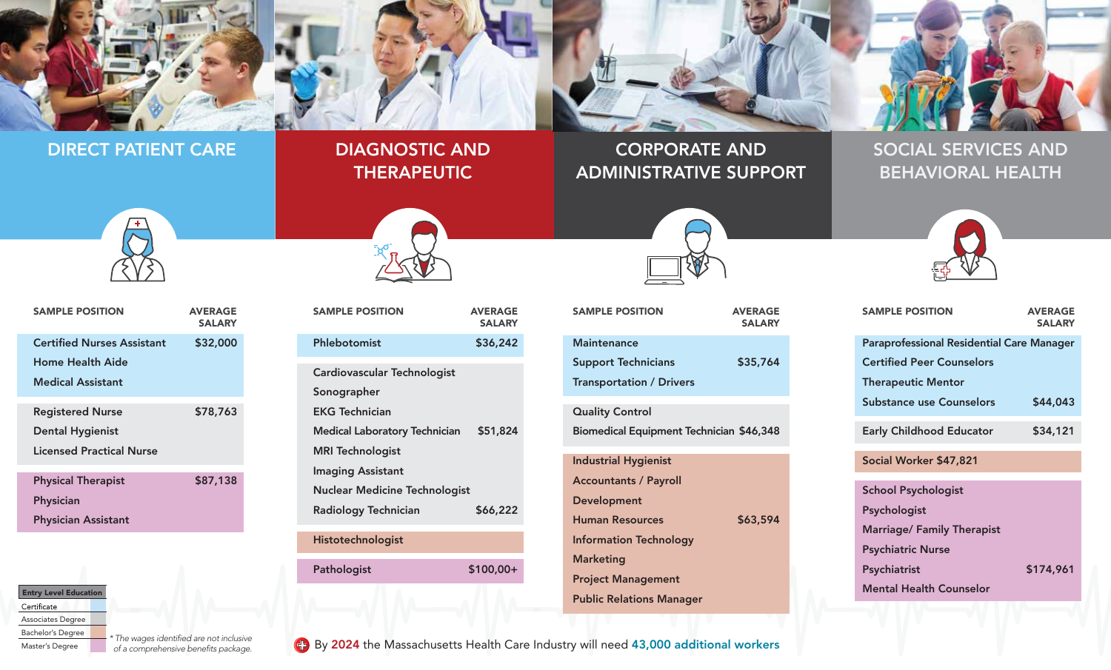

#### DIRECT PATIENT CARE

# DIAGNOSTIC AND THERAPEUTIC

# CORPORATE AND ADMINISTRATIVE SUPPORT

# SOCIAL SERVICES AND BEHAVIORAL HEALTH

SAMPLE POSITION AVERAGE

**SALARY** 



| <b>SAMPLE POSITION</b>            | <b>AVERAGE</b><br><b>SALARY</b> |  |  |
|-----------------------------------|---------------------------------|--|--|
| <b>Certified Nurses Assistant</b> | \$32,000                        |  |  |
| <b>Home Health Aide</b>           |                                 |  |  |
| <b>Medical Assistant</b>          |                                 |  |  |
| <b>Registered Nurse</b>           | \$78,763                        |  |  |
| <b>Dental Hygienist</b>           |                                 |  |  |
| Licensed Practical Nurse          |                                 |  |  |
| <b>Physical Therapist</b>         | \$87,138                        |  |  |
| <b>Physician</b>                  |                                 |  |  |
| <b>Physician Assistant</b>        |                                 |  |  |



| <b>SAMPLE POSITION</b>               | <b>AVERAGE</b><br><b>SALARY</b> |
|--------------------------------------|---------------------------------|
| Phlebotomist                         | \$36,242                        |
| Cardiovascular Technologist          |                                 |
| Sonographer                          |                                 |
| <b>EKG Technician</b>                |                                 |
| <b>Medical Laboratory Technician</b> | \$51,824                        |
| <b>MRI Technologist</b>              |                                 |
| <b>Imaging Assistant</b>             |                                 |
| <b>Nuclear Medicine Technologist</b> |                                 |
| Radiology Technician                 | \$66,222                        |
| Histotechnologist                    |                                 |

| Radiology Technician | \$66,222   |
|----------------------|------------|
| Histotechnologist    |            |
| Pathologist          | $$100,00+$ |



## SAMPLE POSITION AVERAGE SALARY **Maintenance** Support Technicians \$35,764 Transportation / Drivers Quality Control Biomedical Equipment Technician \$46,348 Industrial Hygienist Accountants / Payroll Development Human Resources \$63,594 Information Technology Marketing

Public Relations Manager

| <b>Certified Nurses Assistant</b> | \$32,000 | Phlebotomist                         | \$36,242   | <b>Maintenance</b>                              | <b>Paraprofessional Residential Care Manager</b> |  |
|-----------------------------------|----------|--------------------------------------|------------|-------------------------------------------------|--------------------------------------------------|--|
| <b>Home Health Aide</b>           |          |                                      |            | \$35,764<br><b>Support Technicians</b>          | <b>Certified Peer Counselors</b>                 |  |
| <b>Medical Assistant</b>          |          | Cardiovascular Technologist          |            | <b>Transportation / Drivers</b>                 | <b>Therapeutic Mentor</b>                        |  |
|                                   |          | Sonographer                          |            |                                                 | <b>Substance use Counselors</b><br>\$44,043      |  |
| <b>Registered Nurse</b>           | \$78,763 | <b>EKG Technician</b>                |            | <b>Quality Control</b>                          |                                                  |  |
| <b>Dental Hygienist</b>           |          | <b>Medical Laboratory Technician</b> | \$51,824   | <b>Biomedical Equipment Technician \$46,348</b> | \$34,121<br><b>Early Childhood Educator</b>      |  |
| <b>Licensed Practical Nurse</b>   |          | <b>MRI Technologist</b>              |            |                                                 |                                                  |  |
|                                   |          | <b>Imaging Assistant</b>             |            | <b>Industrial Hygienist</b>                     | Social Worker \$47,821                           |  |
| <b>Physical Therapist</b>         | \$87,138 | <b>Nuclear Medicine Technologist</b> |            | <b>Accountants / Payroll</b>                    | <b>School Psychologist</b>                       |  |
| Physician                         |          | <b>Radiology Technician</b>          | \$66,222   | Development                                     | Psychologist                                     |  |
| <b>Physician Assistant</b>        |          |                                      |            | \$63,594<br><b>Human Resources</b>              | <b>Marriage/ Family Therapist</b>                |  |
|                                   |          | Histotechnologist                    |            | <b>Information Technology</b>                   | <b>Psychiatric Nurse</b>                         |  |
|                                   |          |                                      |            | <b>Marketing</b>                                |                                                  |  |
|                                   |          | Pathologist                          | $$100,00+$ | <b>Project Management</b>                       | Psychiatrist<br>\$174,961                        |  |
| <b>Entry Level Education</b>      |          |                                      |            | <b>Public Relations Manager</b>                 | <b>Mental Health Counselor</b>                   |  |

Certificate

Associates Degree

Bachelor's Degree Master's Degree

 *of a comprehensive benefits package.*